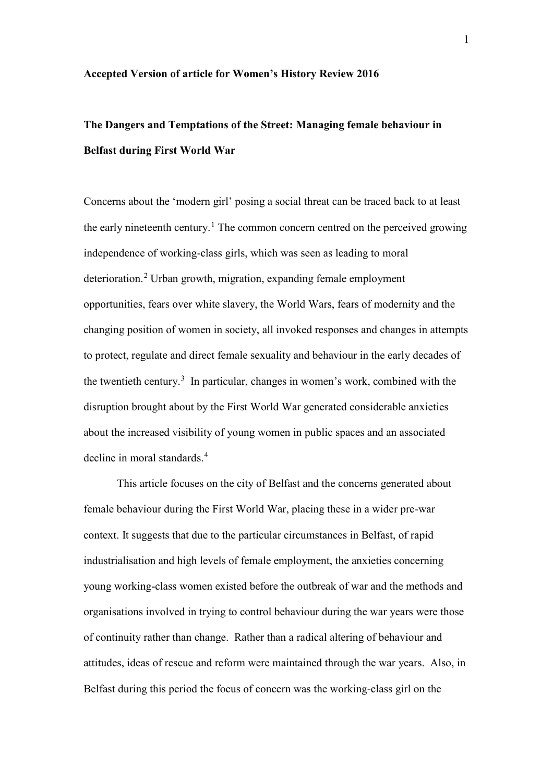## **Accepted Version of article for Women's History Review 2016**

## **The Dangers and Temptations of the Street: Managing female behaviour in Belfast during First World War**

Concerns about the 'modern girl' posing a social threat can be traced back to at least the early nineteenth century.<sup>[1](#page-5-0)</sup> The common concern centred on the perceived growing independence of working-class girls, which was seen as leading to moral deterioration.<sup>[2](#page-5-1)</sup> Urban growth, migration, expanding female employment opportunities, fears over white slavery, the World Wars, fears of modernity and the changing position of women in society, all invoked responses and changes in attempts to protect, regulate and direct female sexuality and behaviour in the early decades of the twentieth century.<sup>[3](#page-5-2)</sup> In particular, changes in women's work, combined with the disruption brought about by the First World War generated considerable anxieties about the increased visibility of young women in public spaces and an associated decline in moral standards.<sup>[4](#page-5-3)</sup>

This article focuses on the city of Belfast and the concerns generated about female behaviour during the First World War, placing these in a wider pre-war context. It suggests that due to the particular circumstances in Belfast, of rapid industrialisation and high levels of female employment, the anxieties concerning young working-class women existed before the outbreak of war and the methods and organisations involved in trying to control behaviour during the war years were those of continuity rather than change. Rather than a radical altering of behaviour and attitudes, ideas of rescue and reform were maintained through the war years. Also, in Belfast during this period the focus of concern was the working-class girl on the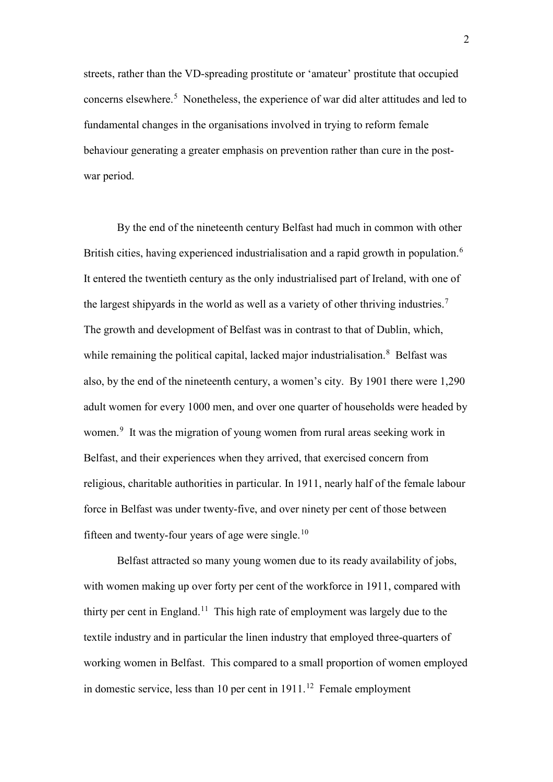streets, rather than the VD-spreading prostitute or 'amateur' prostitute that occupied concerns elsewhere.<sup>[5](#page-5-4)</sup> Nonetheless, the experience of war did alter attitudes and led to fundamental changes in the organisations involved in trying to reform female behaviour generating a greater emphasis on prevention rather than cure in the postwar period.

By the end of the nineteenth century Belfast had much in common with other British cities, having experienced industrialisation and a rapid growth in population.<sup>[6](#page-5-5)</sup> It entered the twentieth century as the only industrialised part of Ireland, with one of the largest shipyards in the world as well as a variety of other thriving industries.<sup>[7](#page-5-6)</sup> The growth and development of Belfast was in contrast to that of Dublin, which, while remaining the political capital, lacked major industrialisation.<sup>[8](#page-5-7)</sup> Belfast was also, by the end of the nineteenth century, a women's city. By 1901 there were 1,290 adult women for every 1000 men, and over one quarter of households were headed by women.<sup>[9](#page-5-8)</sup> It was the migration of young women from rural areas seeking work in Belfast, and their experiences when they arrived, that exercised concern from religious, charitable authorities in particular. In 1911, nearly half of the female labour force in Belfast was under twenty-five, and over ninety per cent of those between fifteen and twenty-four years of age were single.[10](#page-5-9)

Belfast attracted so many young women due to its ready availability of jobs, with women making up over forty per cent of the workforce in 1911, compared with thirty per cent in England.<sup>[11](#page-5-10)</sup> This high rate of employment was largely due to the textile industry and in particular the linen industry that employed three-quarters of working women in Belfast. This compared to a small proportion of women employed in domestic service, less than 10 per cent in  $1911$ .<sup>12</sup> Female employment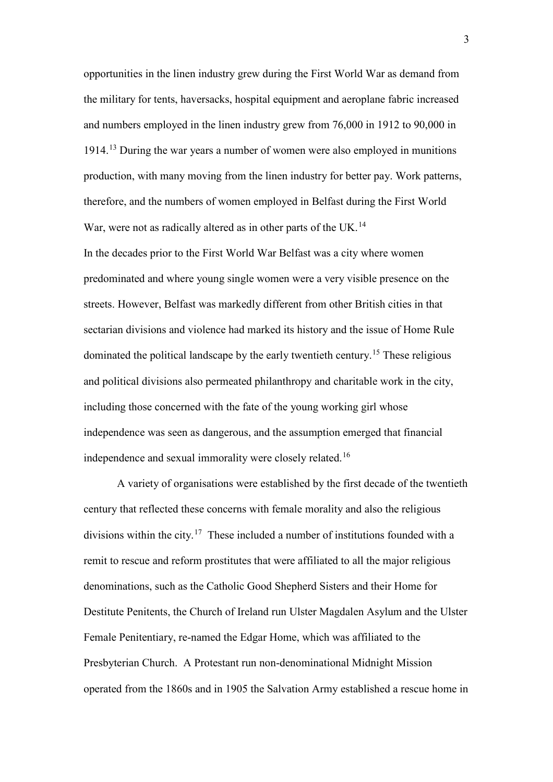opportunities in the linen industry grew during the First World War as demand from the military for tents, haversacks, hospital equipment and aeroplane fabric increased and numbers employed in the linen industry grew from 76,000 in 1912 to 90,000 in 1914.[13](#page-5-12) During the war years a number of women were also employed in munitions production, with many moving from the linen industry for better pay. Work patterns, therefore, and the numbers of women employed in Belfast during the First World War, were not as radically altered as in other parts of the UK.<sup>14</sup>

In the decades prior to the First World War Belfast was a city where women predominated and where young single women were a very visible presence on the streets. However, Belfast was markedly different from other British cities in that sectarian divisions and violence had marked its history and the issue of Home Rule dominated the political landscape by the early twentieth century.[15](#page-5-14) These religious and political divisions also permeated philanthropy and charitable work in the city, including those concerned with the fate of the young working girl whose independence was seen as dangerous, and the assumption emerged that financial independence and sexual immorality were closely related.<sup>16</sup>

A variety of organisations were established by the first decade of the twentieth century that reflected these concerns with female morality and also the religious divisions within the city.<sup>[17](#page-5-16)</sup> These included a number of institutions founded with a remit to rescue and reform prostitutes that were affiliated to all the major religious denominations, such as the Catholic Good Shepherd Sisters and their Home for Destitute Penitents, the Church of Ireland run Ulster Magdalen Asylum and the Ulster Female Penitentiary, re-named the Edgar Home, which was affiliated to the Presbyterian Church. A Protestant run non-denominational Midnight Mission operated from the 1860s and in 1905 the Salvation Army established a rescue home in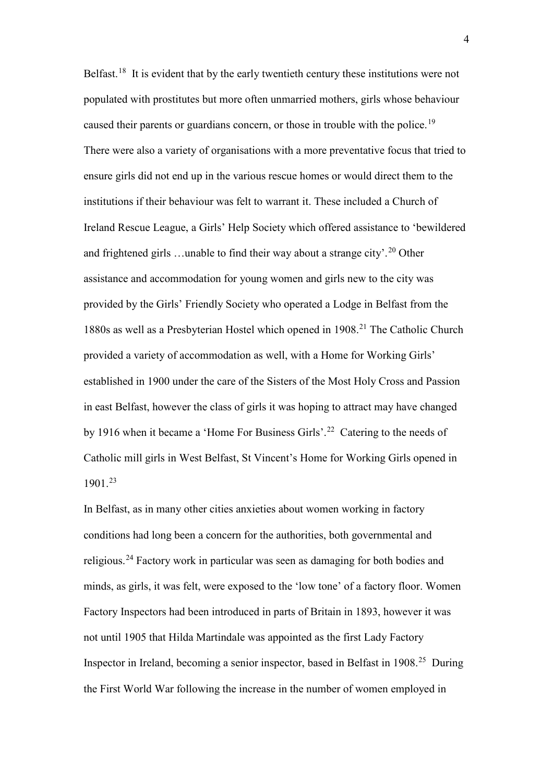Belfast.<sup>[18](#page-6-0)</sup> It is evident that by the early twentieth century these institutions were not populated with prostitutes but more often unmarried mothers, girls whose behaviour caused their parents or guardians concern, or those in trouble with the police.<sup>[19](#page-6-1)</sup> There were also a variety of organisations with a more preventative focus that tried to ensure girls did not end up in the various rescue homes or would direct them to the institutions if their behaviour was felt to warrant it. These included a Church of Ireland Rescue League, a Girls' Help Society which offered assistance to 'bewildered and frightened girls ... unable to find their way about a strange city'.<sup>[20](#page-6-2)</sup> Other assistance and accommodation for young women and girls new to the city was provided by the Girls' Friendly Society who operated a Lodge in Belfast from the 1880s as well as a Presbyterian Hostel which opened in 1908.<sup>[21](#page-6-3)</sup> The Catholic Church provided a variety of accommodation as well, with a Home for Working Girls' established in 1900 under the care of the Sisters of the Most Holy Cross and Passion in east Belfast, however the class of girls it was hoping to attract may have changed by 1916 when it became a 'Home For Business Girls'.<sup>[22](#page-6-4)</sup> Catering to the needs of Catholic mill girls in West Belfast, St Vincent's Home for Working Girls opened in 1901.[23](#page-6-5) 

In Belfast, as in many other cities anxieties about women working in factory conditions had long been a concern for the authorities, both governmental and religious.[24](#page-6-6) Factory work in particular was seen as damaging for both bodies and minds, as girls, it was felt, were exposed to the 'low tone' of a factory floor. Women Factory Inspectors had been introduced in parts of Britain in 1893, however it was not until 1905 that Hilda Martindale was appointed as the first Lady Factory Inspector in Ireland, becoming a senior inspector, based in Belfast in 1908.[25](#page-6-7) During the First World War following the increase in the number of women employed in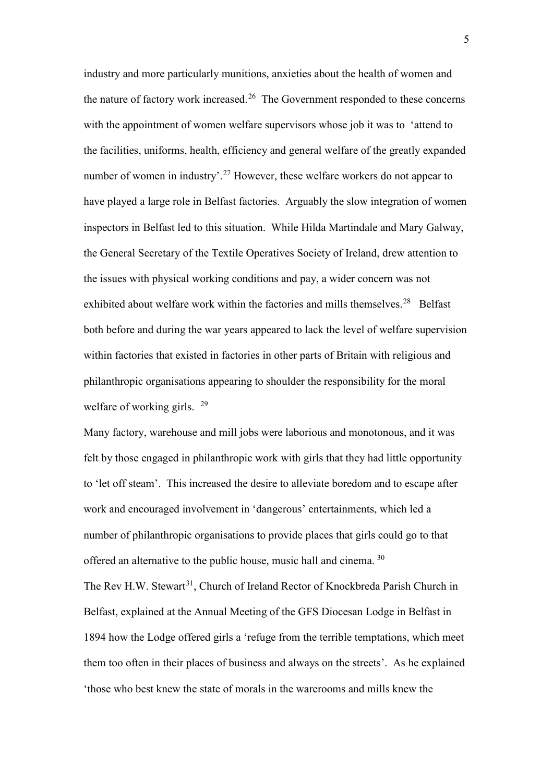industry and more particularly munitions, anxieties about the health of women and the nature of factory work increased.<sup>[26](#page-6-8)</sup> The Government responded to these concerns with the appointment of women welfare supervisors whose job it was to 'attend to the facilities, uniforms, health, efficiency and general welfare of the greatly expanded number of women in industry'.<sup>[27](#page-6-9)</sup> However, these welfare workers do not appear to have played a large role in Belfast factories. Arguably the slow integration of women inspectors in Belfast led to this situation. While Hilda Martindale and Mary Galway, the General Secretary of the Textile Operatives Society of Ireland, drew attention to the issues with physical working conditions and pay, a wider concern was not exhibited about welfare work within the factories and mills themselves.<sup>28</sup> Belfast both before and during the war years appeared to lack the level of welfare supervision within factories that existed in factories in other parts of Britain with religious and philanthropic organisations appearing to shoulder the responsibility for the moral welfare of working girls. <sup>[29](#page-6-11)</sup>

Many factory, warehouse and mill jobs were laborious and monotonous, and it was felt by those engaged in philanthropic work with girls that they had little opportunity to 'let off steam'. This increased the desire to alleviate boredom and to escape after work and encouraged involvement in 'dangerous' entertainments, which led a number of philanthropic organisations to provide places that girls could go to that offered an alternative to the public house, music hall and cinema. <sup>[30](#page-6-12)</sup> The Rev H.W. Stewart<sup>[31](#page-6-13)</sup>, Church of Ireland Rector of Knockbreda Parish Church in Belfast, explained at the Annual Meeting of the GFS Diocesan Lodge in Belfast in 1894 how the Lodge offered girls a 'refuge from the terrible temptations, which meet them too often in their places of business and always on the streets'. As he explained 'those who best knew the state of morals in the warerooms and mills knew the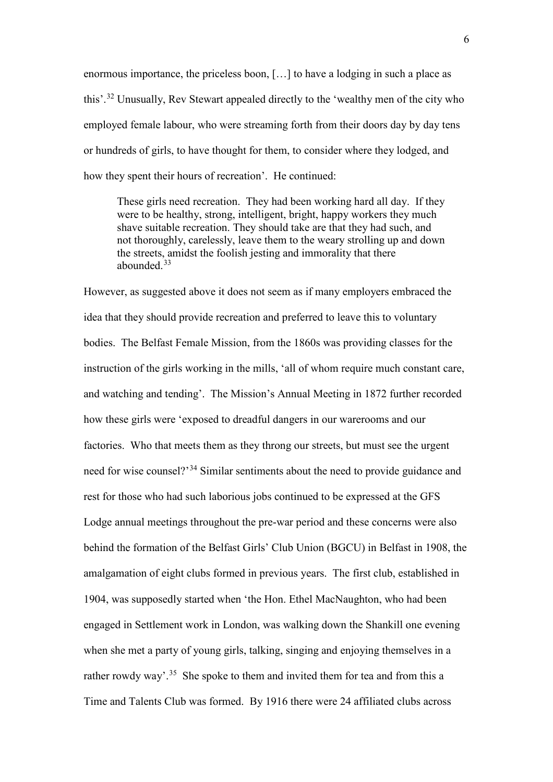<span id="page-5-0"></span>enormous importance, the priceless boon, […] to have a lodging in such a place as this'.[32](#page-6-14) Unusually, Rev Stewart appealed directly to the 'wealthy men of the city who employed female labour, who were streaming forth from their doors day by day tens or hundreds of girls, to have thought for them, to consider where they lodged, and how they spent their hours of recreation'. He continued:

<span id="page-5-2"></span><span id="page-5-1"></span>These girls need recreation. They had been working hard all day. If they were to be healthy, strong, intelligent, bright, happy workers they much shave suitable recreation. They should take are that they had such, and not thoroughly, carelessly, leave them to the weary strolling up and down the streets, amidst the foolish jesting and immorality that there abounded.[33](#page-6-15)

<span id="page-5-16"></span><span id="page-5-15"></span><span id="page-5-14"></span><span id="page-5-13"></span><span id="page-5-12"></span><span id="page-5-11"></span><span id="page-5-10"></span><span id="page-5-9"></span><span id="page-5-8"></span><span id="page-5-7"></span><span id="page-5-6"></span><span id="page-5-5"></span><span id="page-5-4"></span><span id="page-5-3"></span>However, as suggested above it does not seem as if many employers embraced the idea that they should provide recreation and preferred to leave this to voluntary bodies. The Belfast Female Mission, from the 1860s was providing classes for the instruction of the girls working in the mills, 'all of whom require much constant care, and watching and tending'. The Mission's Annual Meeting in 1872 further recorded how these girls were 'exposed to dreadful dangers in our warerooms and our factories. Who that meets them as they throng our streets, but must see the urgent need for wise counsel?<sup>[34](#page-6-16)</sup> Similar sentiments about the need to provide guidance and rest for those who had such laborious jobs continued to be expressed at the GFS Lodge annual meetings throughout the pre-war period and these concerns were also behind the formation of the Belfast Girls' Club Union (BGCU) in Belfast in 1908, the amalgamation of eight clubs formed in previous years. The first club, established in 1904, was supposedly started when 'the Hon. Ethel MacNaughton, who had been engaged in Settlement work in London, was walking down the Shankill one evening when she met a party of young girls, talking, singing and enjoying themselves in a rather rowdy way'.<sup>[35](#page-6-17)</sup> She spoke to them and invited them for tea and from this a Time and Talents Club was formed. By 1916 there were 24 affiliated clubs across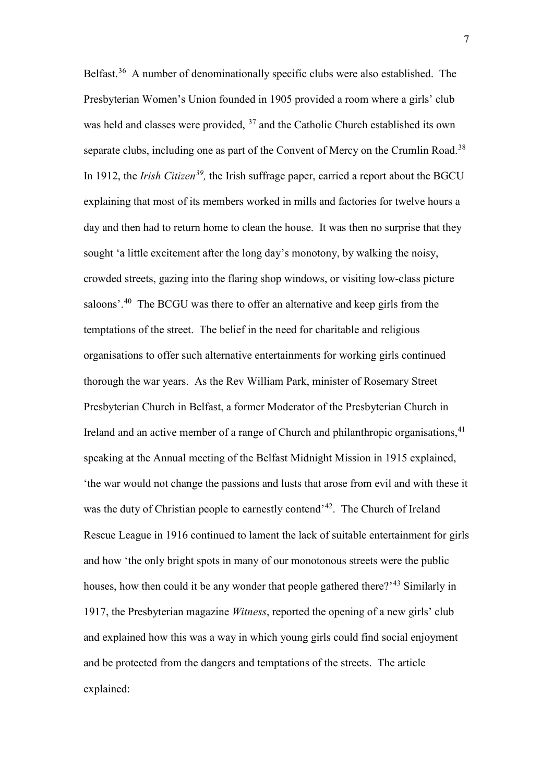<span id="page-6-28"></span><span id="page-6-27"></span><span id="page-6-26"></span><span id="page-6-25"></span><span id="page-6-24"></span><span id="page-6-23"></span><span id="page-6-22"></span><span id="page-6-21"></span><span id="page-6-20"></span><span id="page-6-19"></span><span id="page-6-18"></span><span id="page-6-17"></span><span id="page-6-16"></span><span id="page-6-15"></span><span id="page-6-14"></span><span id="page-6-13"></span><span id="page-6-12"></span><span id="page-6-11"></span><span id="page-6-10"></span><span id="page-6-9"></span><span id="page-6-8"></span><span id="page-6-7"></span><span id="page-6-6"></span><span id="page-6-5"></span><span id="page-6-4"></span><span id="page-6-3"></span><span id="page-6-2"></span><span id="page-6-1"></span><span id="page-6-0"></span>Belfast.[36](#page-6-18) A number of denominationally specific clubs were also established. The Presbyterian Women's Union founded in 1905 provided a room where a girls' club was held and classes were provided,  $37$  and the Catholic Church established its own separate clubs, including one as part of the Convent of Mercy on the Crumlin Road.<sup>[38](#page-6-20)</sup> In 1912, the *Irish Citizen[39](#page-6-21),* the Irish suffrage paper, carried a report about the BGCU explaining that most of its members worked in mills and factories for twelve hours a day and then had to return home to clean the house. It was then no surprise that they sought 'a little excitement after the long day's monotony, by walking the noisy, crowded streets, gazing into the flaring shop windows, or visiting low-class picture saloons'.<sup>40</sup> The BCGU was there to offer an alternative and keep girls from the temptations of the street. The belief in the need for charitable and religious organisations to offer such alternative entertainments for working girls continued thorough the war years. As the Rev William Park, minister of Rosemary Street Presbyterian Church in Belfast, a former Moderator of the Presbyterian Church in Ireland and an active member of a range of Church and philanthropic organisations,  $41$ speaking at the Annual meeting of the Belfast Midnight Mission in 1915 explained, 'the war would not change the passions and lusts that arose from evil and with these it was the duty of Christian people to earnestly contend<sup>, 42</sup>. The Church of Ireland Rescue League in 1916 continued to lament the lack of suitable entertainment for girls and how 'the only bright spots in many of our monotonous streets were the public houses, how then could it be any wonder that people gathered there?<sup>'[43](#page-6-25)</sup> Similarly in 1917, the Presbyterian magazine *Witness*, reported the opening of a new girls' club and explained how this was a way in which young girls could find social enjoyment and be protected from the dangers and temptations of the streets. The article explained: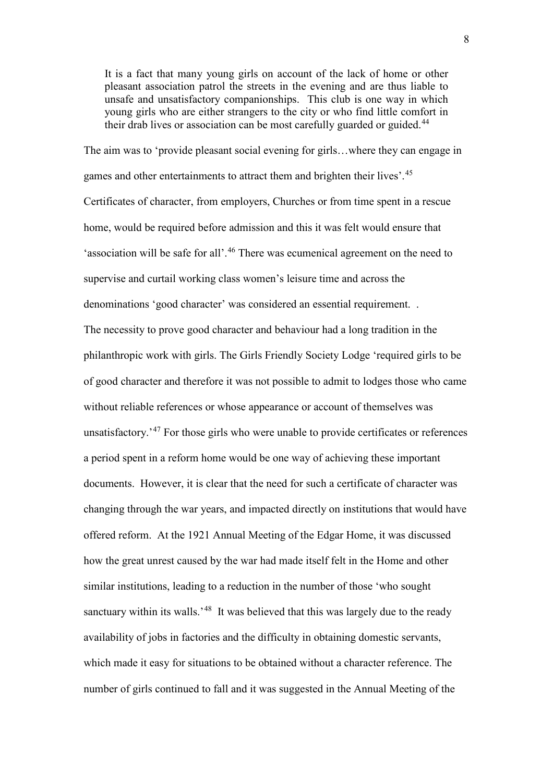<span id="page-7-0"></span>It is a fact that many young girls on account of the lack of home or other pleasant association patrol the streets in the evening and are thus liable to unsafe and unsatisfactory companionships. This club is one way in which young girls who are either strangers to the city or who find little comfort in their drab lives or association can be most carefully guarded or guided.<sup>[44](#page-6-26)</sup>

<span id="page-7-38"></span><span id="page-7-37"></span><span id="page-7-36"></span><span id="page-7-35"></span><span id="page-7-34"></span><span id="page-7-33"></span><span id="page-7-32"></span><span id="page-7-31"></span><span id="page-7-30"></span><span id="page-7-29"></span><span id="page-7-28"></span><span id="page-7-27"></span><span id="page-7-26"></span><span id="page-7-25"></span><span id="page-7-24"></span><span id="page-7-23"></span><span id="page-7-22"></span><span id="page-7-21"></span><span id="page-7-20"></span><span id="page-7-19"></span><span id="page-7-18"></span><span id="page-7-17"></span><span id="page-7-16"></span><span id="page-7-15"></span><span id="page-7-14"></span><span id="page-7-13"></span><span id="page-7-12"></span><span id="page-7-11"></span><span id="page-7-10"></span><span id="page-7-9"></span><span id="page-7-8"></span><span id="page-7-7"></span><span id="page-7-6"></span><span id="page-7-5"></span><span id="page-7-4"></span><span id="page-7-3"></span><span id="page-7-2"></span><span id="page-7-1"></span>The aim was to 'provide pleasant social evening for girls…where they can engage in games and other entertainments to attract them and brighten their lives'.[45](#page-6-27) Certificates of character, from employers, Churches or from time spent in a rescue home, would be required before admission and this it was felt would ensure that 'association will be safe for all'.[46](#page-6-28) There was ecumenical agreement on the need to supervise and curtail working class women's leisure time and across the denominations 'good character' was considered an essential requirement. . The necessity to prove good character and behaviour had a long tradition in the philanthropic work with girls. The Girls Friendly Society Lodge 'required girls to be of good character and therefore it was not possible to admit to lodges those who came without reliable references or whose appearance or account of themselves was unsatisfactory.<sup>'[47](#page-7-0)</sup> For those girls who were unable to provide certificates or references a period spent in a reform home would be one way of achieving these important documents. However, it is clear that the need for such a certificate of character was changing through the war years, and impacted directly on institutions that would have offered reform. At the 1921 Annual Meeting of the Edgar Home, it was discussed how the great unrest caused by the war had made itself felt in the Home and other similar institutions, leading to a reduction in the number of those 'who sought sanctuary within its walls.<sup>'[48](#page-7-1)</sup> It was believed that this was largely due to the ready availability of jobs in factories and the difficulty in obtaining domestic servants, which made it easy for situations to be obtained without a character reference. The number of girls continued to fall and it was suggested in the Annual Meeting of the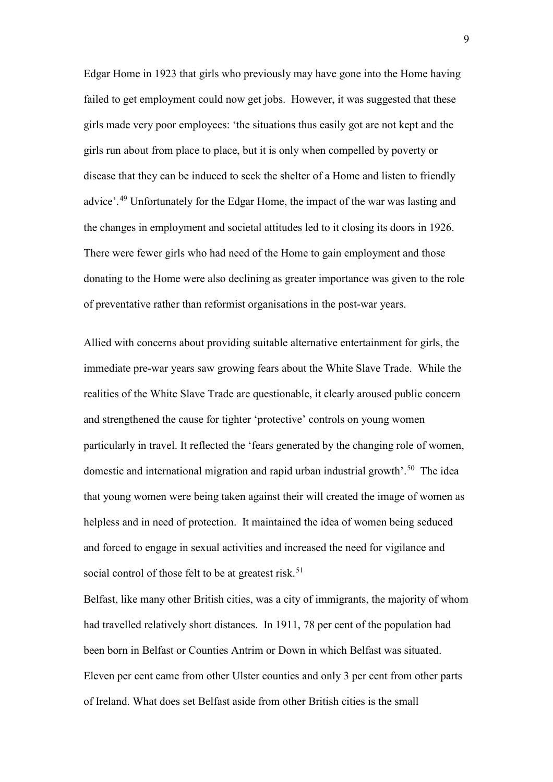<span id="page-8-7"></span><span id="page-8-6"></span><span id="page-8-5"></span><span id="page-8-4"></span><span id="page-8-3"></span><span id="page-8-2"></span><span id="page-8-1"></span><span id="page-8-0"></span>Edgar Home in 1923 that girls who previously may have gone into the Home having failed to get employment could now get jobs. However, it was suggested that these girls made very poor employees: 'the situations thus easily got are not kept and the girls run about from place to place, but it is only when compelled by poverty or disease that they can be induced to seek the shelter of a Home and listen to friendly advice'.[49](#page-7-2) Unfortunately for the Edgar Home, the impact of the war was lasting and the changes in employment and societal attitudes led to it closing its doors in 1926. There were fewer girls who had need of the Home to gain employment and those donating to the Home were also declining as greater importance was given to the role of preventative rather than reformist organisations in the post-war years.

<span id="page-8-26"></span><span id="page-8-25"></span><span id="page-8-24"></span><span id="page-8-23"></span><span id="page-8-22"></span><span id="page-8-21"></span><span id="page-8-20"></span><span id="page-8-19"></span><span id="page-8-18"></span><span id="page-8-17"></span><span id="page-8-16"></span><span id="page-8-15"></span><span id="page-8-14"></span><span id="page-8-13"></span><span id="page-8-12"></span><span id="page-8-11"></span><span id="page-8-10"></span><span id="page-8-9"></span><span id="page-8-8"></span>Allied with concerns about providing suitable alternative entertainment for girls, the immediate pre-war years saw growing fears about the White Slave Trade. While the realities of the White Slave Trade are questionable, it clearly aroused public concern and strengthened the cause for tighter 'protective' controls on young women particularly in travel. It reflected the 'fears generated by the changing role of women, domestic and international migration and rapid urban industrial growth'.[50](#page-7-3) The idea that young women were being taken against their will created the image of women as helpless and in need of protection. It maintained the idea of women being seduced and forced to engage in sexual activities and increased the need for vigilance and social control of those felt to be at greatest risk.<sup>51</sup>

<span id="page-8-37"></span><span id="page-8-36"></span><span id="page-8-35"></span><span id="page-8-34"></span><span id="page-8-33"></span><span id="page-8-32"></span><span id="page-8-31"></span><span id="page-8-30"></span><span id="page-8-29"></span><span id="page-8-28"></span><span id="page-8-27"></span>Belfast, like many other British cities, was a city of immigrants, the majority of whom had travelled relatively short distances. In 1911, 78 per cent of the population had been born in Belfast or Counties Antrim or Down in which Belfast was situated. Eleven per cent came from other Ulster counties and only 3 per cent from other parts of Ireland. What does set Belfast aside from other British cities is the small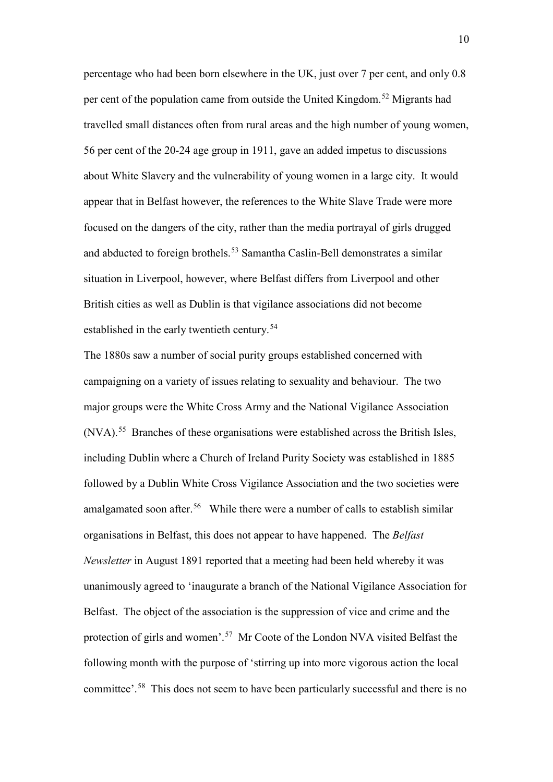<span id="page-9-5"></span><span id="page-9-4"></span><span id="page-9-3"></span><span id="page-9-2"></span><span id="page-9-1"></span><span id="page-9-0"></span>percentage who had been born elsewhere in the UK, just over 7 per cent, and only 0.8 per cent of the population came from outside the United Kingdom.[52](#page-7-5) Migrants had travelled small distances often from rural areas and the high number of young women, 56 per cent of the 20-24 age group in 1911, gave an added impetus to discussions about White Slavery and the vulnerability of young women in a large city. It would appear that in Belfast however, the references to the White Slave Trade were more focused on the dangers of the city, rather than the media portrayal of girls drugged and abducted to foreign brothels.<sup>[53](#page-7-6)</sup> Samantha Caslin-Bell demonstrates a similar situation in Liverpool, however, where Belfast differs from Liverpool and other British cities as well as Dublin is that vigilance associations did not become established in the early twentieth century.<sup>54</sup>

<span id="page-9-13"></span><span id="page-9-12"></span><span id="page-9-11"></span><span id="page-9-10"></span><span id="page-9-9"></span><span id="page-9-8"></span><span id="page-9-7"></span><span id="page-9-6"></span>The 1880s saw a number of social purity groups established concerned with campaigning on a variety of issues relating to sexuality and behaviour. The two major groups were the White Cross Army and the National Vigilance Association (NVA).[55](#page-7-8) Branches of these organisations were established across the British Isles, including Dublin where a Church of Ireland Purity Society was established in 1885 followed by a Dublin White Cross Vigilance Association and the two societies were amalgamated soon after.<sup>[56](#page-7-9)</sup> While there were a number of calls to establish similar organisations in Belfast, this does not appear to have happened. The *Belfast Newsletter* in August 1891 reported that a meeting had been held whereby it was unanimously agreed to 'inaugurate a branch of the National Vigilance Association for Belfast. The object of the association is the suppression of vice and crime and the protection of girls and women'.[57](#page-7-10) Mr Coote of the London NVA visited Belfast the following month with the purpose of 'stirring up into more vigorous action the local committee'.[58](#page-7-11) This does not seem to have been particularly successful and there is no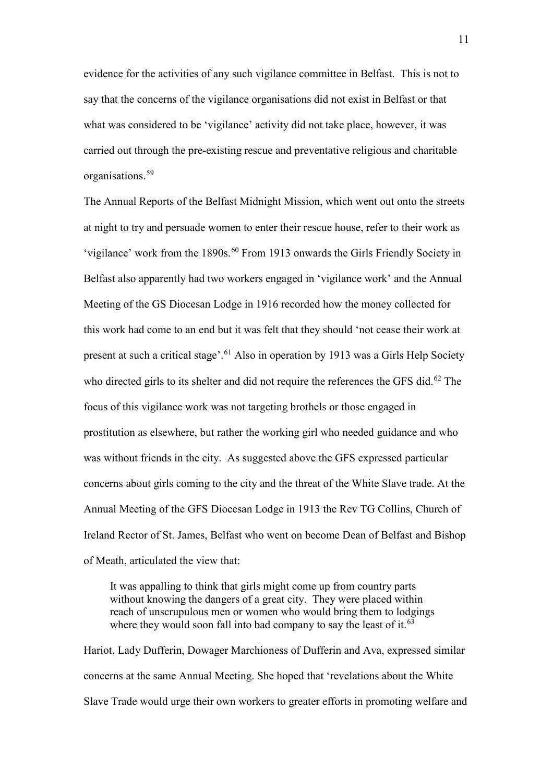evidence for the activities of any such vigilance committee in Belfast. This is not to say that the concerns of the vigilance organisations did not exist in Belfast or that what was considered to be 'vigilance' activity did not take place, however, it was carried out through the pre-existing rescue and preventative religious and charitable organisations.[59](#page-7-12) 

The Annual Reports of the Belfast Midnight Mission, which went out onto the streets at night to try and persuade women to enter their rescue house, refer to their work as 'vigilance' work from the 1890s.<sup>[60](#page-7-13)</sup> From 1913 onwards the Girls Friendly Society in Belfast also apparently had two workers engaged in 'vigilance work' and the Annual Meeting of the GS Diocesan Lodge in 1916 recorded how the money collected for this work had come to an end but it was felt that they should 'not cease their work at present at such a critical stage'.[61](#page-7-14) Also in operation by 1913 was a Girls Help Society who directed girls to its shelter and did not require the references the GFS did.<sup>[62](#page-7-15)</sup> The focus of this vigilance work was not targeting brothels or those engaged in prostitution as elsewhere, but rather the working girl who needed guidance and who was without friends in the city. As suggested above the GFS expressed particular concerns about girls coming to the city and the threat of the White Slave trade. At the Annual Meeting of the GFS Diocesan Lodge in 1913 the Rev TG Collins, Church of Ireland Rector of St. James, Belfast who went on become Dean of Belfast and Bishop of Meath, articulated the view that:

It was appalling to think that girls might come up from country parts without knowing the dangers of a great city. They were placed within reach of unscrupulous men or women who would bring them to lodgings where they would soon fall into bad company to say the least of it.<sup>[63](#page-7-16)</sup>

Hariot, Lady Dufferin, Dowager Marchioness of Dufferin and Ava, expressed similar concerns at the same Annual Meeting. She hoped that 'revelations about the White Slave Trade would urge their own workers to greater efforts in promoting welfare and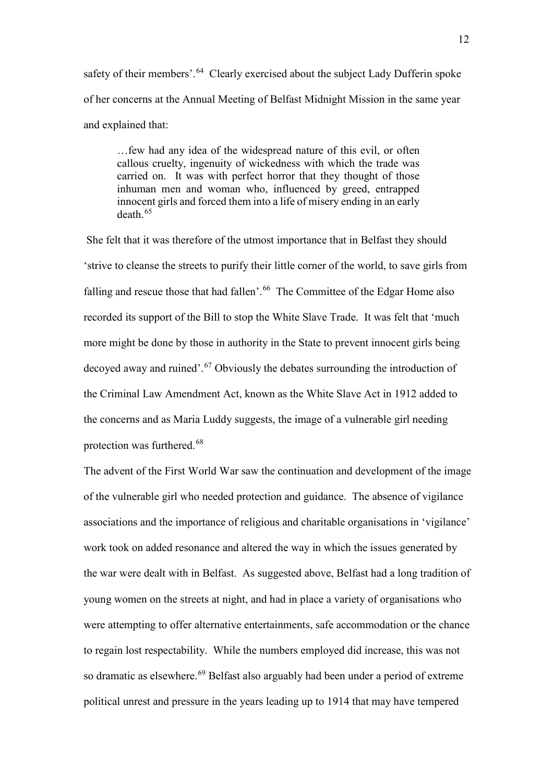safety of their members'.<sup>[64](#page-7-17)</sup> Clearly exercised about the subject Lady Dufferin spoke of her concerns at the Annual Meeting of Belfast Midnight Mission in the same year and explained that:

…few had any idea of the widespread nature of this evil, or often callous cruelty, ingenuity of wickedness with which the trade was carried on. It was with perfect horror that they thought of those inhuman men and woman who, influenced by greed, entrapped innocent girls and forced them into a life of misery ending in an early death.[65](#page-7-18)

She felt that it was therefore of the utmost importance that in Belfast they should 'strive to cleanse the streets to purify their little corner of the world, to save girls from falling and rescue those that had fallen'.<sup>[66](#page-7-19)</sup> The Committee of the Edgar Home also recorded its support of the Bill to stop the White Slave Trade. It was felt that 'much more might be done by those in authority in the State to prevent innocent girls being decoyed away and ruined'.<sup>[67](#page-7-20)</sup> Obviously the debates surrounding the introduction of the Criminal Law Amendment Act, known as the White Slave Act in 1912 added to the concerns and as Maria Luddy suggests, the image of a vulnerable girl needing protection was furthered.[68](#page-7-21)

The advent of the First World War saw the continuation and development of the image of the vulnerable girl who needed protection and guidance. The absence of vigilance associations and the importance of religious and charitable organisations in 'vigilance' work took on added resonance and altered the way in which the issues generated by the war were dealt with in Belfast. As suggested above, Belfast had a long tradition of young women on the streets at night, and had in place a variety of organisations who were attempting to offer alternative entertainments, safe accommodation or the chance to regain lost respectability. While the numbers employed did increase, this was not so dramatic as elsewhere.<sup>[69](#page-7-22)</sup> Belfast also arguably had been under a period of extreme political unrest and pressure in the years leading up to 1914 that may have tempered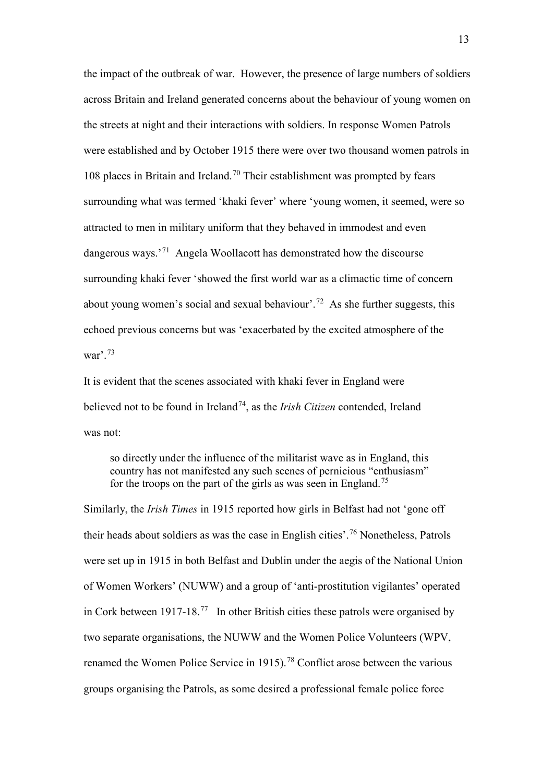the impact of the outbreak of war. However, the presence of large numbers of soldiers across Britain and Ireland generated concerns about the behaviour of young women on the streets at night and their interactions with soldiers. In response Women Patrols were established and by October 1915 there were over two thousand women patrols in 108 places in Britain and Ireland.<sup>[70](#page-7-23)</sup> Their establishment was prompted by fears surrounding what was termed 'khaki fever' where 'young women, it seemed, were so attracted to men in military uniform that they behaved in immodest and even dangerous ways.'[71](#page-7-24) Angela Woollacott has demonstrated how the discourse surrounding khaki fever 'showed the first world war as a climactic time of concern about young women's social and sexual behaviour'.<sup>[72](#page-7-25)</sup> As she further suggests, this echoed previous concerns but was 'exacerbated by the excited atmosphere of the war'. $73$ 

It is evident that the scenes associated with khaki fever in England were believed not to be found in Ireland<sup>74</sup>, as the *Irish Citizen* contended, Ireland was not:

so directly under the influence of the militarist wave as in England, this country has not manifested any such scenes of pernicious "enthusiasm" for the troops on the part of the girls as was seen in England.<sup>[75](#page-7-28)</sup>

Similarly, the *Irish Times* in 1915 reported how girls in Belfast had not 'gone off their heads about soldiers as was the case in English cities'.[76](#page-7-29) Nonetheless, Patrols were set up in 1915 in both Belfast and Dublin under the aegis of the National Union of Women Workers' (NUWW) and a group of 'anti-prostitution vigilantes' operated in Cork between 1917-18.[77](#page-7-30) In other British cities these patrols were organised by two separate organisations, the NUWW and the Women Police Volunteers (WPV, renamed the Women Police Service in 1915).<sup>[78](#page-7-31)</sup> Conflict arose between the various groups organising the Patrols, as some desired a professional female police force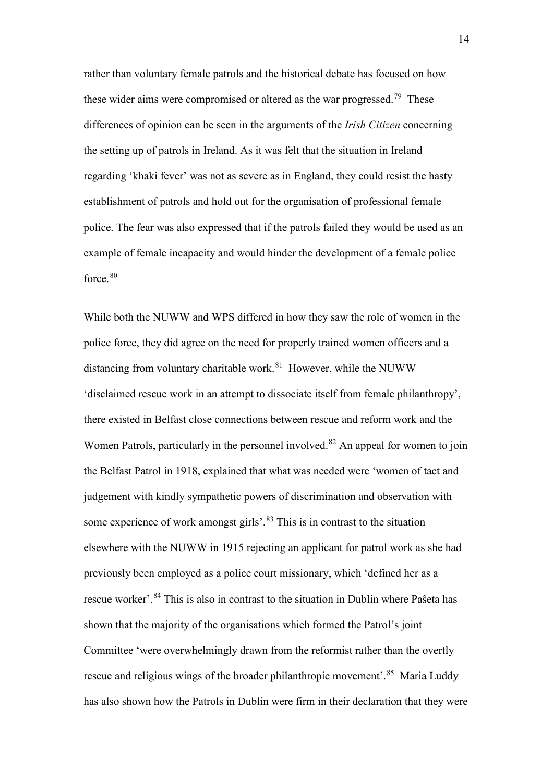rather than voluntary female patrols and the historical debate has focused on how these wider aims were compromised or altered as the war progressed.<sup>[79](#page-7-32)</sup> These differences of opinion can be seen in the arguments of the *Irish Citizen* concerning the setting up of patrols in Ireland. As it was felt that the situation in Ireland regarding 'khaki fever' was not as severe as in England, they could resist the hasty establishment of patrols and hold out for the organisation of professional female police. The fear was also expressed that if the patrols failed they would be used as an example of female incapacity and would hinder the development of a female police force. [80](#page-7-33)

While both the NUWW and WPS differed in how they saw the role of women in the police force, they did agree on the need for properly trained women officers and a distancing from voluntary charitable work. $81$  However, while the NUWW 'disclaimed rescue work in an attempt to dissociate itself from female philanthropy', there existed in Belfast close connections between rescue and reform work and the Women Patrols, particularly in the personnel involved.<sup>[82](#page-7-35)</sup> An appeal for women to join the Belfast Patrol in 1918, explained that what was needed were 'women of tact and judgement with kindly sympathetic powers of discrimination and observation with some experience of work amongst girls'.<sup>[83](#page-7-36)</sup> This is in contrast to the situation elsewhere with the NUWW in 1915 rejecting an applicant for patrol work as she had previously been employed as a police court missionary, which 'defined her as a rescue worker'. <sup>[84](#page-7-37)</sup> This is also in contrast to the situation in Dublin where Paŝeta has shown that the majority of the organisations which formed the Patrol's joint Committee 'were overwhelmingly drawn from the reformist rather than the overtly rescue and religious wings of the broader philanthropic movement'.<sup>[85](#page-7-38)</sup> Maria Luddy has also shown how the Patrols in Dublin were firm in their declaration that they were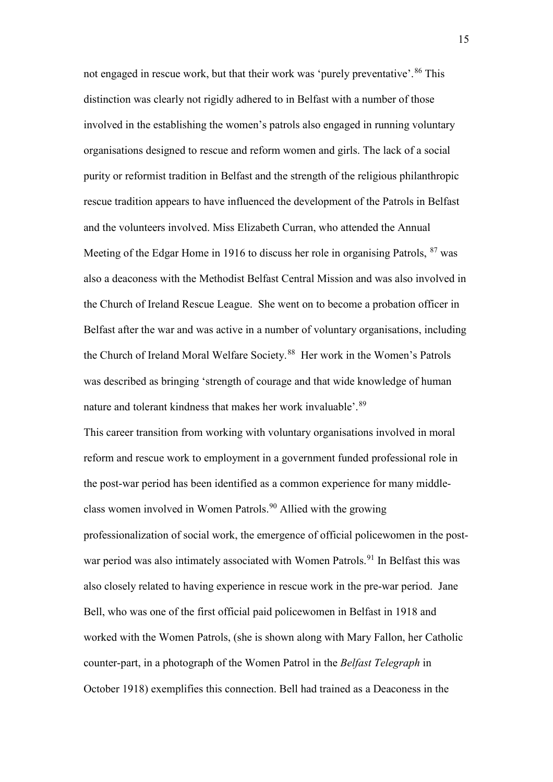not engaged in rescue work, but that their work was 'purely preventative'.<sup>[86](#page-8-0)</sup> This distinction was clearly not rigidly adhered to in Belfast with a number of those involved in the establishing the women's patrols also engaged in running voluntary organisations designed to rescue and reform women and girls. The lack of a social purity or reformist tradition in Belfast and the strength of the religious philanthropic rescue tradition appears to have influenced the development of the Patrols in Belfast and the volunteers involved. Miss Elizabeth Curran, who attended the Annual Meeting of the Edgar Home in 1916 to discuss her role in organising Patrols, <sup>[87](#page-8-1)</sup> was also a deaconess with the Methodist Belfast Central Mission and was also involved in the Church of Ireland Rescue League. She went on to become a probation officer in Belfast after the war and was active in a number of voluntary organisations, including the Church of Ireland Moral Welfare Society.<sup>88</sup> Her work in the Women's Patrols was described as bringing 'strength of courage and that wide knowledge of human nature and tolerant kindness that makes her work invaluable'.<sup>[89](#page-8-3)</sup>

This career transition from working with voluntary organisations involved in moral reform and rescue work to employment in a government funded professional role in the post-war period has been identified as a common experience for many middleclass women involved in Women Patrols.[90](#page-8-4) Allied with the growing professionalization of social work, the emergence of official policewomen in the post-war period was also intimately associated with Women Patrols.<sup>[91](#page-8-5)</sup> In Belfast this was also closely related to having experience in rescue work in the pre-war period. Jane Bell, who was one of the first official paid policewomen in Belfast in 1918 and worked with the Women Patrols, (she is shown along with Mary Fallon, her Catholic counter-part, in a photograph of the Women Patrol in the *Belfast Telegraph* in October 1918) exemplifies this connection. Bell had trained as a Deaconess in the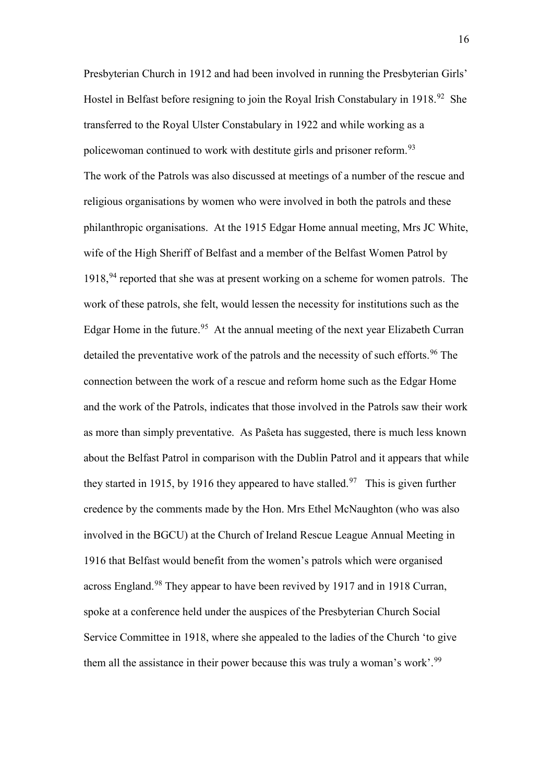Presbyterian Church in 1912 and had been involved in running the Presbyterian Girls' Hostel in Belfast before resigning to join the Royal Irish Constabulary in 1918.<sup>[92](#page-8-6)</sup> She transferred to the Royal Ulster Constabulary in 1922 and while working as a policewoman continued to work with destitute girls and prisoner reform.<sup>[93](#page-8-7)</sup> The work of the Patrols was also discussed at meetings of a number of the rescue and religious organisations by women who were involved in both the patrols and these philanthropic organisations. At the 1915 Edgar Home annual meeting, Mrs JC White, wife of the High Sheriff of Belfast and a member of the Belfast Women Patrol by  $1918<sup>94</sup>$  $1918<sup>94</sup>$  $1918<sup>94</sup>$  reported that she was at present working on a scheme for women patrols. The work of these patrols, she felt, would lessen the necessity for institutions such as the Edgar Home in the future.<sup>[95](#page-8-9)</sup> At the annual meeting of the next year Elizabeth Curran detailed the preventative work of the patrols and the necessity of such efforts.<sup>[96](#page-8-10)</sup> The connection between the work of a rescue and reform home such as the Edgar Home and the work of the Patrols, indicates that those involved in the Patrols saw their work as more than simply preventative. As Paŝeta has suggested, there is much less known about the Belfast Patrol in comparison with the Dublin Patrol and it appears that while they started in 1915, by 1916 they appeared to have stalled.<sup>[97](#page-8-11)</sup> This is given further credence by the comments made by the Hon. Mrs Ethel McNaughton (who was also involved in the BGCU) at the Church of Ireland Rescue League Annual Meeting in 1916 that Belfast would benefit from the women's patrols which were organised across England.<sup>[98](#page-8-12)</sup> They appear to have been revived by 1917 and in 1918 Curran, spoke at a conference held under the auspices of the Presbyterian Church Social Service Committee in 1918, where she appealed to the ladies of the Church 'to give them all the assistance in their power because this was truly a woman's work'.<sup>[99](#page-8-13)</sup>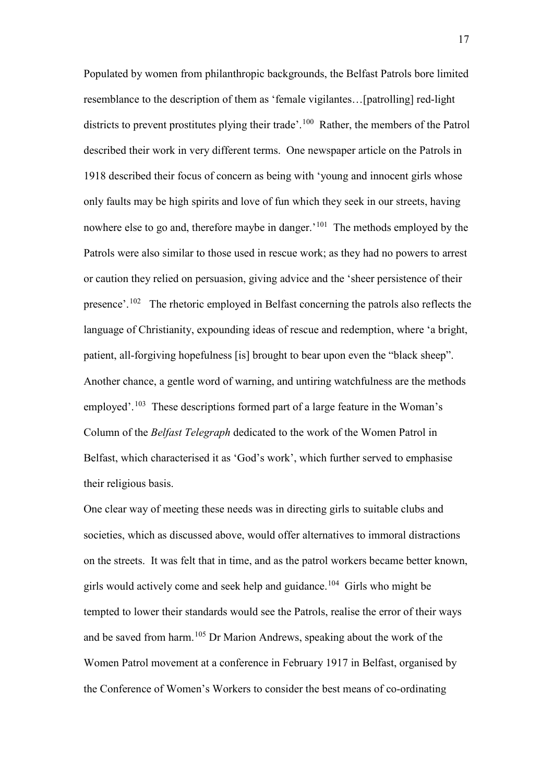Populated by women from philanthropic backgrounds, the Belfast Patrols bore limited resemblance to the description of them as 'female vigilantes…[patrolling] red-light districts to prevent prostitutes plying their trade'.<sup>100</sup> Rather, the members of the Patrol described their work in very different terms. One newspaper article on the Patrols in 1918 described their focus of concern as being with 'young and innocent girls whose only faults may be high spirits and love of fun which they seek in our streets, having nowhere else to go and, therefore maybe in danger.<sup>'101</sup> The methods employed by the Patrols were also similar to those used in rescue work; as they had no powers to arrest or caution they relied on persuasion, giving advice and the 'sheer persistence of their presence'.[102](#page-8-16) The rhetoric employed in Belfast concerning the patrols also reflects the language of Christianity, expounding ideas of rescue and redemption, where 'a bright, patient, all-forgiving hopefulness [is] brought to bear upon even the "black sheep". Another chance, a gentle word of warning, and untiring watchfulness are the methods employed'.[103](#page-8-17) These descriptions formed part of a large feature in the Woman's Column of the *Belfast Telegraph* dedicated to the work of the Women Patrol in Belfast, which characterised it as 'God's work', which further served to emphasise their religious basis.

One clear way of meeting these needs was in directing girls to suitable clubs and societies, which as discussed above, would offer alternatives to immoral distractions on the streets. It was felt that in time, and as the patrol workers became better known, girls would actively come and seek help and guidance.<sup>[104](#page-8-18)</sup> Girls who might be tempted to lower their standards would see the Patrols, realise the error of their ways and be saved from harm.[105](#page-8-19) Dr Marion Andrews, speaking about the work of the Women Patrol movement at a conference in February 1917 in Belfast, organised by the Conference of Women's Workers to consider the best means of co-ordinating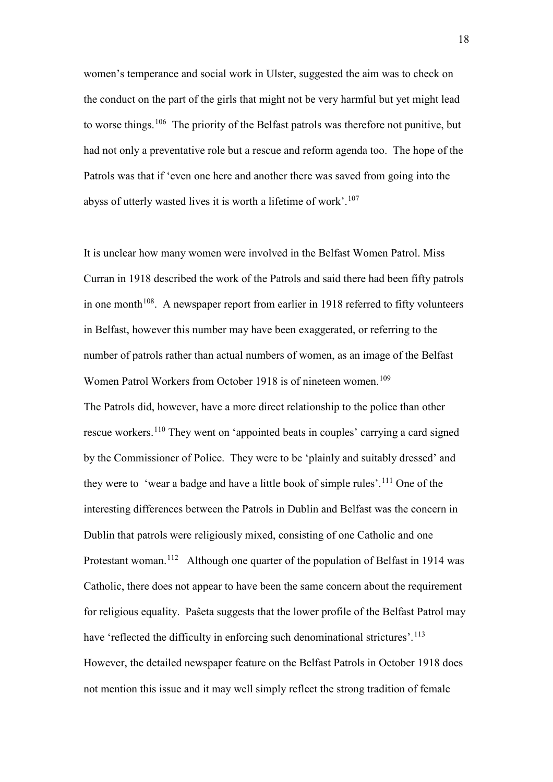women's temperance and social work in Ulster, suggested the aim was to check on the conduct on the part of the girls that might not be very harmful but yet might lead to worse things.<sup>[106](#page-8-20)</sup> The priority of the Belfast patrols was therefore not punitive, but had not only a preventative role but a rescue and reform agenda too. The hope of the Patrols was that if 'even one here and another there was saved from going into the abyss of utterly wasted lives it is worth a lifetime of work'.[107](#page-8-21)

It is unclear how many women were involved in the Belfast Women Patrol. Miss Curran in 1918 described the work of the Patrols and said there had been fifty patrols in one month<sup> $108$ </sup>. A newspaper report from earlier in 1918 referred to fifty volunteers in Belfast, however this number may have been exaggerated, or referring to the number of patrols rather than actual numbers of women, as an image of the Belfast Women Patrol Workers from October 1918 is of nineteen women.<sup>[109](#page-8-23)</sup> The Patrols did, however, have a more direct relationship to the police than other rescue workers.[110](#page-8-24) They went on 'appointed beats in couples' carrying a card signed by the Commissioner of Police. They were to be 'plainly and suitably dressed' and they were to 'wear a badge and have a little book of simple rules'.<sup>[111](#page-8-25)</sup> One of the interesting differences between the Patrols in Dublin and Belfast was the concern in Dublin that patrols were religiously mixed, consisting of one Catholic and one Protestant woman.<sup>[112](#page-8-26)</sup> Although one quarter of the population of Belfast in 1914 was Catholic, there does not appear to have been the same concern about the requirement for religious equality. Paŝeta suggests that the lower profile of the Belfast Patrol may have 'reflected the difficulty in enforcing such denominational strictures'.<sup>[113](#page-8-27)</sup> However, the detailed newspaper feature on the Belfast Patrols in October 1918 does not mention this issue and it may well simply reflect the strong tradition of female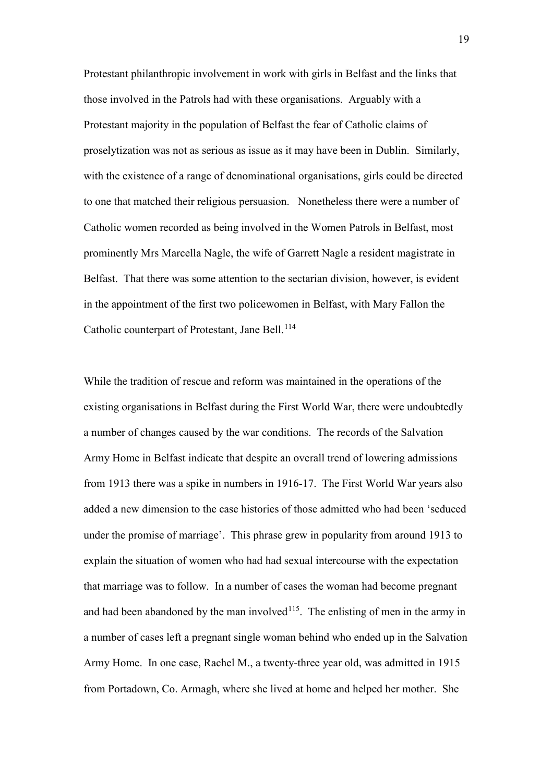Protestant philanthropic involvement in work with girls in Belfast and the links that those involved in the Patrols had with these organisations. Arguably with a Protestant majority in the population of Belfast the fear of Catholic claims of proselytization was not as serious as issue as it may have been in Dublin. Similarly, with the existence of a range of denominational organisations, girls could be directed to one that matched their religious persuasion. Nonetheless there were a number of Catholic women recorded as being involved in the Women Patrols in Belfast, most prominently Mrs Marcella Nagle, the wife of Garrett Nagle a resident magistrate in Belfast. That there was some attention to the sectarian division, however, is evident in the appointment of the first two policewomen in Belfast, with Mary Fallon the Catholic counterpart of Protestant, Jane Bell.<sup>[114](#page-8-28)</sup>

While the tradition of rescue and reform was maintained in the operations of the existing organisations in Belfast during the First World War, there were undoubtedly a number of changes caused by the war conditions. The records of the Salvation Army Home in Belfast indicate that despite an overall trend of lowering admissions from 1913 there was a spike in numbers in 1916-17. The First World War years also added a new dimension to the case histories of those admitted who had been 'seduced under the promise of marriage'. This phrase grew in popularity from around 1913 to explain the situation of women who had had sexual intercourse with the expectation that marriage was to follow. In a number of cases the woman had become pregnant and had been abandoned by the man involved $115$ . The enlisting of men in the army in a number of cases left a pregnant single woman behind who ended up in the Salvation Army Home. In one case, Rachel M., a twenty-three year old, was admitted in 1915 from Portadown, Co. Armagh, where she lived at home and helped her mother. She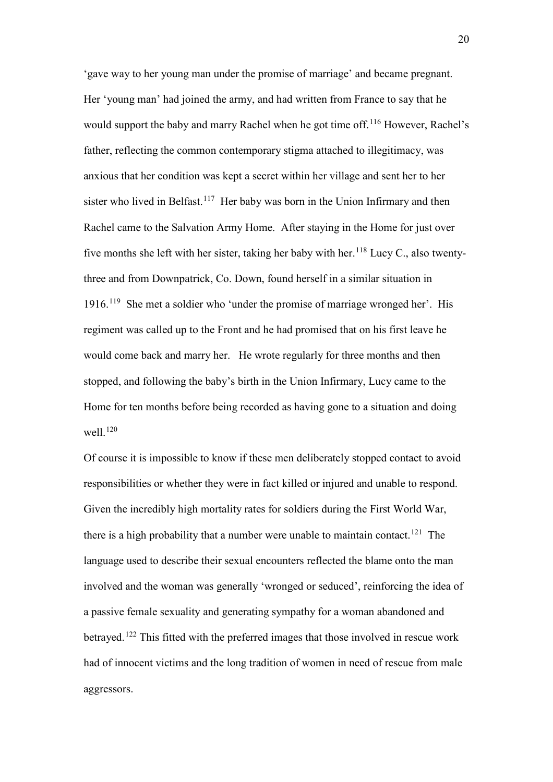'gave way to her young man under the promise of marriage' and became pregnant. Her 'young man' had joined the army, and had written from France to say that he would support the baby and marry Rachel when he got time off.<sup>[116](#page-8-30)</sup> However, Rachel's father, reflecting the common contemporary stigma attached to illegitimacy, was anxious that her condition was kept a secret within her village and sent her to her sister who lived in Belfast.<sup>[117](#page-8-31)</sup> Her baby was born in the Union Infirmary and then Rachel came to the Salvation Army Home. After staying in the Home for just over five months she left with her sister, taking her baby with her.<sup>[118](#page-8-32)</sup> Lucy C., also twentythree and from Downpatrick, Co. Down, found herself in a similar situation in 1916.[119](#page-8-33) She met a soldier who 'under the promise of marriage wronged her'. His regiment was called up to the Front and he had promised that on his first leave he would come back and marry her. He wrote regularly for three months and then stopped, and following the baby's birth in the Union Infirmary, Lucy came to the Home for ten months before being recorded as having gone to a situation and doing well. $120$ 

Of course it is impossible to know if these men deliberately stopped contact to avoid responsibilities or whether they were in fact killed or injured and unable to respond. Given the incredibly high mortality rates for soldiers during the First World War, there is a high probability that a number were unable to maintain contact.<sup>[121](#page-8-35)</sup> The language used to describe their sexual encounters reflected the blame onto the man involved and the woman was generally 'wronged or seduced', reinforcing the idea of a passive female sexuality and generating sympathy for a woman abandoned and betrayed.[122](#page-8-36) This fitted with the preferred images that those involved in rescue work had of innocent victims and the long tradition of women in need of rescue from male aggressors.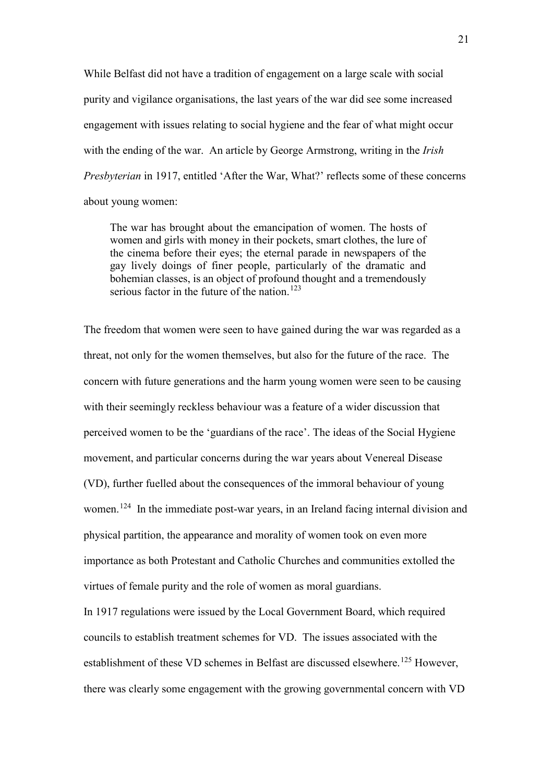While Belfast did not have a tradition of engagement on a large scale with social purity and vigilance organisations, the last years of the war did see some increased engagement with issues relating to social hygiene and the fear of what might occur with the ending of the war. An article by George Armstrong, writing in the *Irish Presbyterian* in 1917, entitled 'After the War, What?' reflects some of these concerns about young women:

The war has brought about the emancipation of women. The hosts of women and girls with money in their pockets, smart clothes, the lure of the cinema before their eyes; the eternal parade in newspapers of the gay lively doings of finer people, particularly of the dramatic and bohemian classes, is an object of profound thought and a tremendously serious factor in the future of the nation.<sup>[123](#page-8-37)</sup>

The freedom that women were seen to have gained during the war was regarded as a threat, not only for the women themselves, but also for the future of the race. The concern with future generations and the harm young women were seen to be causing with their seemingly reckless behaviour was a feature of a wider discussion that perceived women to be the 'guardians of the race'. The ideas of the Social Hygiene movement, and particular concerns during the war years about Venereal Disease (VD), further fuelled about the consequences of the immoral behaviour of young women.<sup>[124](#page-9-0)</sup> In the immediate post-war years, in an Ireland facing internal division and physical partition, the appearance and morality of women took on even more importance as both Protestant and Catholic Churches and communities extolled the virtues of female purity and the role of women as moral guardians.

In 1917 regulations were issued by the Local Government Board, which required councils to establish treatment schemes for VD. The issues associated with the establishment of these VD schemes in Belfast are discussed elsewhere.<sup>[125](#page-9-1)</sup> However, there was clearly some engagement with the growing governmental concern with VD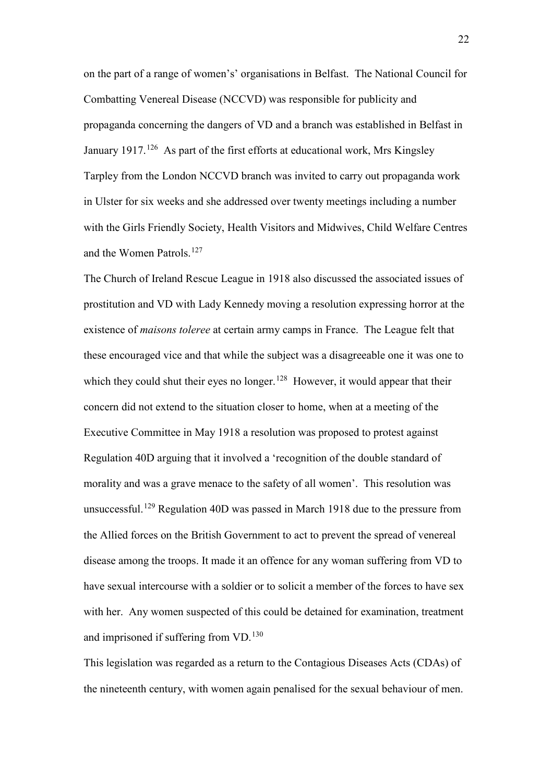on the part of a range of women's' organisations in Belfast. The National Council for Combatting Venereal Disease (NCCVD) was responsible for publicity and propaganda concerning the dangers of VD and a branch was established in Belfast in January 1917.<sup>[126](#page-9-2)</sup> As part of the first efforts at educational work, Mrs Kingsley Tarpley from the London NCCVD branch was invited to carry out propaganda work in Ulster for six weeks and she addressed over twenty meetings including a number with the Girls Friendly Society, Health Visitors and Midwives, Child Welfare Centres and the Women Patrols.<sup>[127](#page-9-3)</sup>

The Church of Ireland Rescue League in 1918 also discussed the associated issues of prostitution and VD with Lady Kennedy moving a resolution expressing horror at the existence of *maisons toleree* at certain army camps in France. The League felt that these encouraged vice and that while the subject was a disagreeable one it was one to which they could shut their eyes no longer.<sup>[128](#page-9-4)</sup> However, it would appear that their concern did not extend to the situation closer to home, when at a meeting of the Executive Committee in May 1918 a resolution was proposed to protest against Regulation 40D arguing that it involved a 'recognition of the double standard of morality and was a grave menace to the safety of all women'. This resolution was unsuccessful.[129](#page-9-5) Regulation 40D was passed in March 1918 due to the pressure from the Allied forces on the British Government to act to prevent the spread of venereal disease among the troops. It made it an offence for any woman suffering from VD to have sexual intercourse with a soldier or to solicit a member of the forces to have sex with her. Any women suspected of this could be detained for examination, treatment and imprisoned if suffering from VD.<sup>[130](#page-9-6)</sup>

This legislation was regarded as a return to the Contagious Diseases Acts (CDAs) of the nineteenth century, with women again penalised for the sexual behaviour of men.

22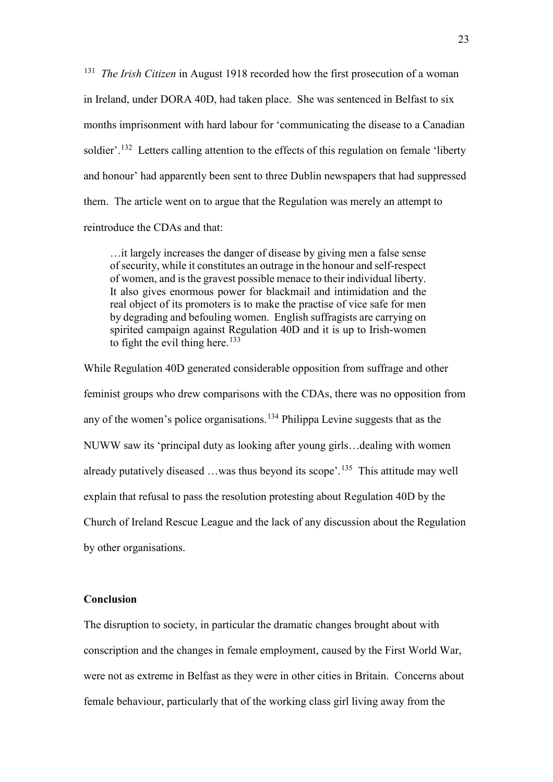<sup>131</sup> *The Irish Citizen* in August 1918 recorded how the first prosecution of a woman in Ireland, under DORA 40D, had taken place. She was sentenced in Belfast to six months imprisonment with hard labour for 'communicating the disease to a Canadian soldier'.<sup>[132](#page-9-8)</sup> Letters calling attention to the effects of this regulation on female 'liberty and honour' had apparently been sent to three Dublin newspapers that had suppressed them. The article went on to argue that the Regulation was merely an attempt to reintroduce the CDAs and that:

…it largely increases the danger of disease by giving men a false sense of security, while it constitutes an outrage in the honour and self-respect of women, and is the gravest possible menace to their individual liberty. It also gives enormous power for blackmail and intimidation and the real object of its promoters is to make the practise of vice safe for men by degrading and befouling women. English suffragists are carrying on spirited campaign against Regulation 40D and it is up to Irish-women to fight the evil thing here.<sup>[133](#page-9-9)</sup>

While Regulation 40D generated considerable opposition from suffrage and other feminist groups who drew comparisons with the CDAs, there was no opposition from any of the women's police organisations.<sup>[134](#page-9-10)</sup> Philippa Levine suggests that as the NUWW saw its 'principal duty as looking after young girls…dealing with women already putatively diseased  $\dots$  was thus beyond its scope'.<sup>[135](#page-9-11)</sup> This attitude may well explain that refusal to pass the resolution protesting about Regulation 40D by the Church of Ireland Rescue League and the lack of any discussion about the Regulation by other organisations.

## **Conclusion**

The disruption to society, in particular the dramatic changes brought about with conscription and the changes in female employment, caused by the First World War, were not as extreme in Belfast as they were in other cities in Britain. Concerns about female behaviour, particularly that of the working class girl living away from the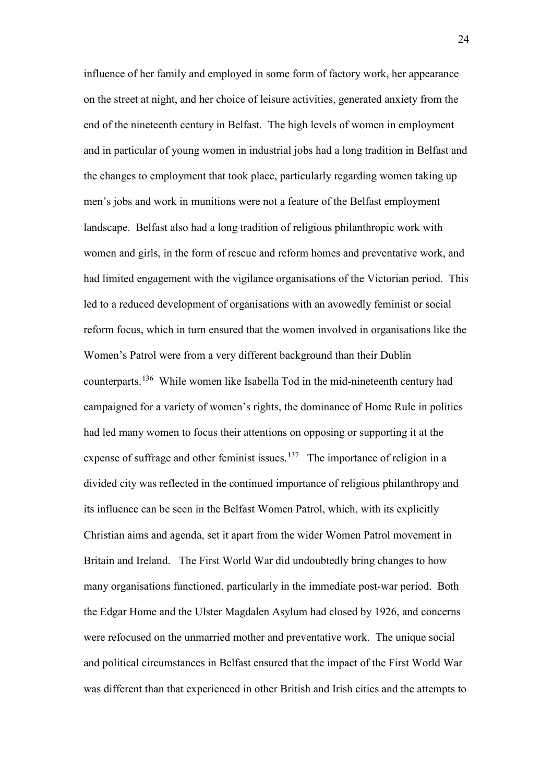influence of her family and employed in some form of factory work, her appearance on the street at night, and her choice of leisure activities, generated anxiety from the end of the nineteenth century in Belfast. The high levels of women in employment and in particular of young women in industrial jobs had a long tradition in Belfast and the changes to employment that took place, particularly regarding women taking up men's jobs and work in munitions were not a feature of the Belfast employment landscape. Belfast also had a long tradition of religious philanthropic work with women and girls, in the form of rescue and reform homes and preventative work, and had limited engagement with the vigilance organisations of the Victorian period. This led to a reduced development of organisations with an avowedly feminist or social reform focus, which in turn ensured that the women involved in organisations like the Women's Patrol were from a very different background than their Dublin counterparts.[136](#page-9-12) While women like Isabella Tod in the mid-nineteenth century had campaigned for a variety of women's rights, the dominance of Home Rule in politics had led many women to focus their attentions on opposing or supporting it at the expense of suffrage and other feminist issues.<sup>137</sup> The importance of religion in a divided city was reflected in the continued importance of religious philanthropy and its influence can be seen in the Belfast Women Patrol, which, with its explicitly Christian aims and agenda, set it apart from the wider Women Patrol movement in Britain and Ireland. The First World War did undoubtedly bring changes to how many organisations functioned, particularly in the immediate post-war period. Both the Edgar Home and the Ulster Magdalen Asylum had closed by 1926, and concerns were refocused on the unmarried mother and preventative work. The unique social and political circumstances in Belfast ensured that the impact of the First World War was different than that experienced in other British and Irish cities and the attempts to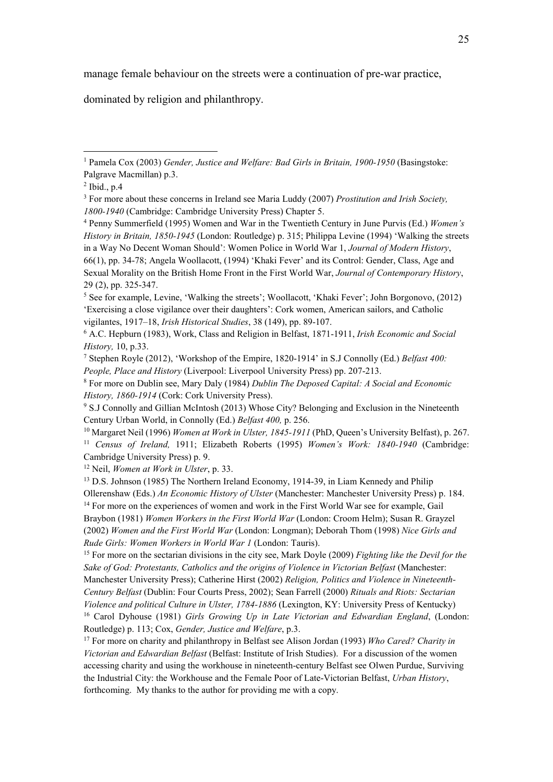manage female behaviour on the streets were a continuation of pre-war practice,

dominated by religion and philanthropy.

 $\overline{a}$ 

<sup>12</sup> Neil, *Women at Work in Ulster*, p. 33.

<sup>&</sup>lt;sup>1</sup> Pamela Cox (2003) *Gender, Justice and Welfare: Bad Girls in Britain, 1900-1950* (Basingstoke: Palgrave Macmillan) p.3.

 $<sup>2</sup>$  Ibid., p.4</sup>

<sup>3</sup> For more about these concerns in Ireland see Maria Luddy (2007) *Prostitution and Irish Society, 1800-1940* (Cambridge: Cambridge University Press) Chapter 5. 4 Penny Summerfield (1995) Women and War in the Twentieth Century in June Purvis (Ed.) *Women's* 

*History in Britain, 1850-1945* (London: Routledge) p. 315; Philippa Levine (1994) 'Walking the streets in a Way No Decent Woman Should': Women Police in World War 1, *Journal of Modern History*, 66(1), pp. 34-78; Angela Woollacott, (1994) 'Khaki Fever' and its Control: Gender, Class, Age and Sexual Morality on the British Home Front in the First World War, *Journal of Contemporary History*, 29 (2), pp. 325-347.

<sup>5</sup> See for example, Levine, 'Walking the streets'; Woollacott, 'Khaki Fever'; John Borgonovo, (2012) 'Exercising a close vigilance over their daughters': Cork women, American sailors, and Catholic vigilantes, 1917–18, *Irish Historical Studies*, 38 (149), pp. 89-107.

<sup>6</sup> A.C. Hepburn (1983), Work, Class and Religion in Belfast, 1871-1911, *Irish Economic and Social History,* 10, p.33.

<sup>7</sup> Stephen Royle (2012), 'Workshop of the Empire, 1820-1914' in S.J Connolly (Ed.) *Belfast 400: People, Place and History* (Liverpool: Liverpool University Press) pp. 207-213.

<sup>8</sup> For more on Dublin see, Mary Daly (1984) *Dublin The Deposed Capital: A Social and Economic History, 1860-1914* (Cork: Cork University Press).

<sup>9</sup> S.J Connolly and Gillian McIntosh (2013) Whose City? Belonging and Exclusion in the Nineteenth Century Urban World, in Connolly (Ed.) *Belfast 400,* p. 256.

<sup>10</sup> Margaret Neil (1996) *Women at Work in Ulster, 1845-1911* (PhD, Queen's University Belfast), p. 267. <sup>11</sup> *Census of Ireland,* 1911; Elizabeth Roberts (1995) *Women's Work: 1840-1940* (Cambridge: Cambridge University Press) p. 9.

<sup>&</sup>lt;sup>13</sup> D.S. Johnson (1985) The Northern Ireland Economy, 1914-39, in Liam Kennedy and Philip Ollerenshaw (Eds.) *An Economic History of Ulster* (Manchester: Manchester University Press) p. 184. <sup>14</sup> For more on the experiences of women and work in the First World War see for example, Gail Braybon (1981) *Women Workers in the First World War* (London: Croom Helm); Susan R. Grayzel (2002) *Women and the First World War* (London: Longman); Deborah Thom (1998) *Nice Girls and Rude Girls: Women Workers in World War 1* (London: Tauris).

<sup>15</sup> For more on the sectarian divisions in the city see, Mark Doyle (2009) *Fighting like the Devil for the Sake of God: Protestants, Catholics and the origins of Violence in Victorian Belfast* (Manchester: Manchester University Press); Catherine Hirst (2002) *Religion, Politics and Violence in Nineteenth-Century Belfast* (Dublin: Four Courts Press, 2002); Sean Farrell (2000) *Rituals and Riots: Sectarian Violence and political Culture in Ulster, 1784-1886* (Lexington, KY: University Press of Kentucky) 16 Carol Dyhouse (1981) *Girls Growing Up in Late Victorian and Edwardian England*, (London: Routledge) p. 113; Cox, *Gender, Justice and Welfare*, p.3.

<sup>17</sup> For more on charity and philanthropy in Belfast see Alison Jordan (1993) *Who Cared? Charity in Victorian and Edwardian Belfast* (Belfast: Institute of Irish Studies). For a discussion of the women accessing charity and using the workhouse in nineteenth-century Belfast see Olwen Purdue, Surviving the Industrial City: the Workhouse and the Female Poor of Late-Victorian Belfast, *Urban History*, forthcoming. My thanks to the author for providing me with a copy.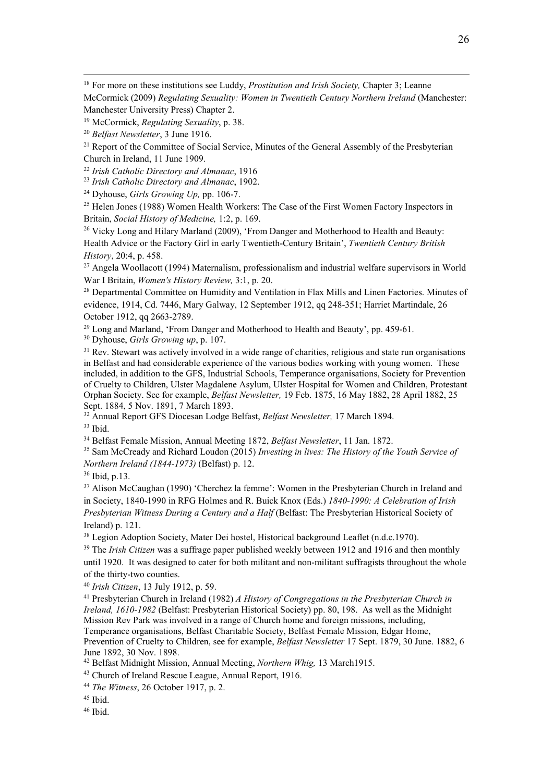18 For more on these institutions see Luddy, *Prostitution and Irish Society,* Chapter 3; Leanne McCormick (2009) *Regulating Sexuality: Women in Twentieth Century Northern Ireland* (Manchester: Manchester University Press) Chapter 2.

<sup>22</sup> *Irish Catholic Directory and Almanac*, 1916

<sup>24</sup> Dyhouse, *Girls Growing Up*, pp. 106-7.

<sup>25</sup> Helen Jones (1988) Women Health Workers: The Case of the First Women Factory Inspectors in Britain, *Social History of Medicine,* 1:2, p. 169.

<sup>26</sup> Vicky Long and Hilary Marland (2009), 'From Danger and Motherhood to Health and Beauty: Health Advice or the Factory Girl in early Twentieth-Century Britain', *Twentieth Century British History*, 20:4, p. 458.

<sup>27</sup> Angela Woollacott (1994) Maternalism, professionalism and industrial welfare supervisors in World War I Britain, *Women's History Review,* 3:1, p. 20.

<sup>28</sup> Departmental Committee on Humidity and Ventilation in Flax Mills and Linen Factories. Minutes of evidence, 1914, Cd. 7446, Mary Galway, 12 September 1912, qq 248-351; Harriet Martindale, 26 October 1912, qq 2663-2789.<br><sup>29</sup> Long and Marland, 'From Danger and Motherhood to Health and Beauty', pp. 459-61.

<sup>30</sup> Dyhouse, *Girls Growing up*, p. 107.

 $31$  Rev. Stewart was actively involved in a wide range of charities, religious and state run organisations in Belfast and had considerable experience of the various bodies working with young women. These included, in addition to the GFS, Industrial Schools, Temperance organisations, Society for Prevention of Cruelty to Children, Ulster Magdalene Asylum, Ulster Hospital for Women and Children, Protestant Orphan Society. See for example, *Belfast Newsletter,* 19 Feb. 1875, 16 May 1882, 28 April 1882, 25

<sup>32</sup> Annual Report GFS Diocesan Lodge Belfast, *Belfast Newsletter*, 17 March 1894. <sup>33</sup> Ibid.

<sup>34</sup> Belfast Female Mission, Annual Meeting 1872, *Belfast Newsletter*, 11 Jan. 1872.<br><sup>35</sup> Sam McCready and Richard Loudon (2015) *Investing in lives: The History of the Youth Service of Northern Ireland (1844-1973)* (Belfast) p. 12.

<sup>36</sup> Ibid, p.13.

<sup>37</sup> Alison McCaughan (1990) 'Cherchez la femme': Women in the Presbyterian Church in Ireland and in Society, 1840-1990 in RFG Holmes and R. Buick Knox (Eds.) *1840-1990: A Celebration of Irish Presbyterian Witness During a Century and a Half* (Belfast: The Presbyterian Historical Society of Ireland) p. 121.

<sup>38</sup> Legion Adoption Society, Mater Dei hostel, Historical background Leaflet (n.d.c.1970).

<sup>39</sup> The *Irish Citizen* was a suffrage paper published weekly between 1912 and 1916 and then monthly until 1920. It was designed to cater for both militant and non-militant suffragists throughout the whole of the thirty-two counties.

<sup>40</sup> *Irish Citizen*, 13 July 1912, p. 59.

<sup>41</sup> Presbyterian Church in Ireland (1982) *A History of Congregations in the Presbyterian Church in Ireland, 1610-1982* (Belfast: Presbyterian Historical Society) pp. 80, 198. As well as the Midnight Mission Rev Park was involved in a range of Church home and foreign missions, including, Temperance organisations, Belfast Charitable Society, Belfast Female Mission, Edgar Home, Prevention of Cruelty to Children, see for example, *Belfast Newsletter* 17 Sept. 1879, 30 June. 1882, 6 June 1892, 30 Nov. 1898.

<sup>42</sup> Belfast Midnight Mission, Annual Meeting, *Northern Whig,* 13 March1915.

<sup>43</sup> Church of Ireland Rescue League, Annual Report, 1916.

<sup>44</sup> *The Witness*, 26 October 1917, p. 2.

 $45$  Ibid.

<sup>19</sup> McCormick, *Regulating Sexuality*, p. 38.

<sup>20</sup> *Belfast Newsletter*, 3 June 1916.

<sup>&</sup>lt;sup>21</sup> Report of the Committee of Social Service, Minutes of the General Assembly of the Presbyterian Church in Ireland, 11 June 1909.

<sup>46</sup> Ibid.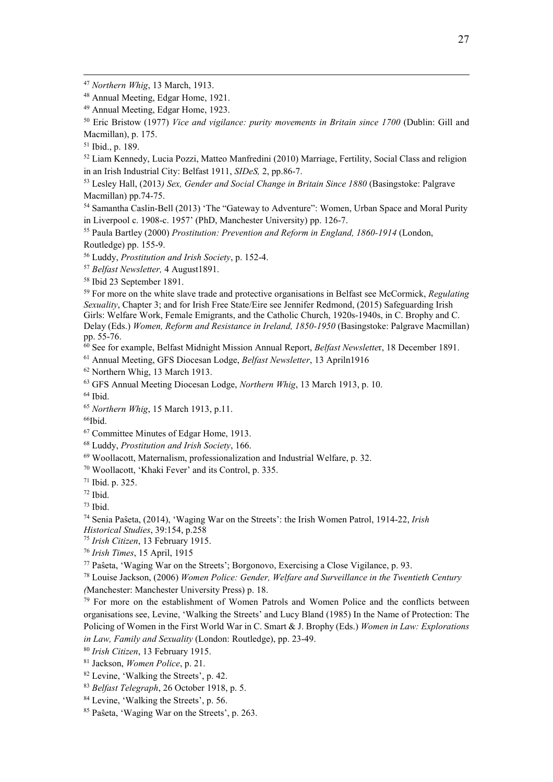Eric Bristow (1977) *Vice and vigilance: purity movements in Britain since 1700* (Dublin: Gill and Macmillan), p. 175.

 Liam Kennedy, Lucia Pozzi, Matteo Manfredini (2010) Marriage, Fertility, Social Class and religion in an Irish Industrial City: Belfast 1911, *SIDeS,* 2, pp.86-7.

 Lesley Hall, (2013*) Sex, Gender and Social Change in Britain Since 1880* (Basingstoke: Palgrave Macmillan) pp.74-75.

 Samantha Caslin-Bell (2013) 'The "Gateway to Adventure": Women, Urban Space and Moral Purity in Liverpool c. 1908-c. 1957' (PhD, Manchester University) pp. 126-7.

 Paula Bartley (2000) *Prostitution: Prevention and Reform in England, 1860-1914* (London, Routledge) pp. 155-9. 56 Luddy, *Prostitution and Irish Society*, p. 152-4.

*Belfast Newsletter,* 4 August1891.

Ibid 23 September 1891.

 For more on the white slave trade and protective organisations in Belfast see McCormick, *Regulating Sexuality*, Chapter 3; and for Irish Free State/Eire see Jennifer Redmond, (2015) Safeguarding Irish Girls: Welfare Work, Female Emigrants, and the Catholic Church, 1920s-1940s, in C. Brophy and C. Delay (Eds.) *Women, Reform and Resistance in Ireland, 1850-1950* (Basingstoke: Palgrave Macmillan)

<sup>60</sup> See for example, Belfast Midnight Mission Annual Report, *Belfast Newsletter*, 18 December 1891.

Annual Meeting, GFS Diocesan Lodge, *Belfast Newsletter*, 13 Apriln1916

Northern Whig, 13 March 1913.

GFS Annual Meeting Diocesan Lodge, *Northern Whig*, 13 March 1913, p. 10.

Ibid.

*Northern Whig*, 15 March 1913, p.11.

Ibid.

Committee Minutes of Edgar Home, 1913.

Luddy, *Prostitution and Irish Society*, 166.

Woollacott, Maternalism, professionalization and Industrial Welfare, p. 32.

Woollacott, 'Khaki Fever' and its Control, p. 335.

Ibid. p. 325.

Ibid.

Ibid.

Senia Paŝeta, (2014), 'Waging War on the Streets': the Irish Women Patrol, 1914-22, *Irish* 

*Historical Studies*, 39:154, p.258 *Irish Citizen*, 13 February 1915.

Paŝeta, 'Waging War on the Streets'; Borgonovo, Exercising a Close Vigilance, p. 93.

Louise Jackson, (2006) *Women Police: Gender, Welfare and Surveillance in the Twentieth Century* 

*(*Manchester: Manchester University Press) p. 18.

 For more on the establishment of Women Patrols and Women Police and the conflicts between organisations see, Levine, 'Walking the Streets' and Lucy Bland (1985) In the Name of Protection: The Policing of Women in the First World War in C. Smart & J. Brophy (Eds.) *Women in Law: Explorations in Law, Family and Sexuality* (London: Routledge), pp. 23-49.

*Irish Citizen*, 13 February 1915.

Jackson, *Women Police*, p. 21.

Levine, 'Walking the Streets', p. 42.

*Belfast Telegraph*, 26 October 1918, p. 5.

<sup>84</sup> Levine, 'Walking the Streets', p. 56.

Paŝeta, 'Waging War on the Streets', p. 263.

*Northern Whig*, 13 March, 1913.

Annual Meeting, Edgar Home, 1921.

Annual Meeting, Edgar Home, 1923.

Ibid., p. 189.

*Irish Times*, 15 April, 1915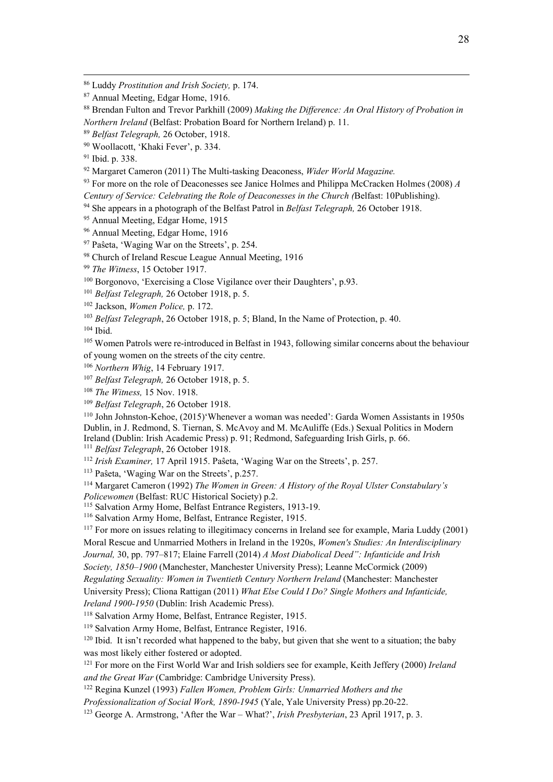<sup>92</sup> Margaret Cameron (2011) The Multi-tasking Deaconess, *Wider World Magazine.*

<sup>93</sup> For more on the role of Deaconesses see Janice Holmes and Philippa McCracken Holmes (2008) *A* 

*Century of Service: Celebrating the Role of Deaconesses in the Church (*Belfast: 10Publishing).

<sup>94</sup> She appears in a photograph of the Belfast Patrol in *Belfast Telegraph*, 26 October 1918.<br><sup>95</sup> Annual Meeting, Edgar Home, 1915

<sup>96</sup> Annual Meeting, Edgar Home, 1916

<sup>97</sup> Paŝeta, 'Waging War on the Streets', p. 254.

98 Church of Ireland Rescue League Annual Meeting, 1916

<sup>99</sup> *The Witness*, 15 October 1917.

<sup>100</sup> Borgonovo, 'Exercising a Close Vigilance over their Daughters', p.93.

<sup>101</sup> *Belfast Telegraph,* 26 October 1918, p. 5.

<sup>102</sup> Jackson, *Women Police,* p. 172.

<sup>103</sup> *Belfast Telegraph*, 26 October 1918, p. 5; Bland, In the Name of Protection, p. 40.

<sup>104</sup> Ibid.

<sup>105</sup> Women Patrols were re-introduced in Belfast in 1943, following similar concerns about the behaviour of young women on the streets of the city centre.

<sup>106</sup> *Northern Whig*, 14 February 1917.

<sup>107</sup> *Belfast Telegraph,* 26 October 1918, p. 5.

<sup>108</sup> *The Witness,* 15 Nov. 1918.<br><sup>109</sup> *Belfast Telegraph*, 26 October 1918.<br><sup>110</sup> John Johnston-Kehoe, (2015)'Whenever a woman was needed': Garda Women Assistants in 1950s Dublin, in J. Redmond, S. Tiernan, S. McAvoy and M. McAuliffe (Eds.) Sexual Politics in Modern Ireland (Dublin: Irish Academic Press) p. 91; Redmond, Safeguarding Irish Girls, p. 66.<br><sup>111</sup> Belfast Telegraph, 26 October 1918.

<sup>112</sup> *Irish Examiner*, 17 April 1915. Paŝeta, 'Waging War on the Streets', p. 257. <sup>113</sup> Paŝeta, 'Waging War on the Streets', p. 257.

<sup>114</sup> Margaret Cameron (1992) *The Women in Green: A History of the Royal Ulster Constabulary's* 

*Policewomen* (Belfast: RUC Historical Society) p.2.

<sup>115</sup> Salvation Army Home, Belfast Entrance Registers, 1913-19.

<sup>116</sup> Salvation Army Home, Belfast, Entrance Register, 1915.

<sup>117</sup> For more on issues relating to illegitimacy concerns in Ireland see for example, Maria Luddy (2001) Moral Rescue and Unmarried Mothers in Ireland in the 1920s, *Women's Studies: An Interdisciplinary Journal,* 30, pp. 797–817; Elaine Farrell (2014) *A Most Diabolical Deed": Infanticide and Irish* 

*Society, 1850–1900* (Manchester, Manchester University Press); Leanne McCormick (2009)

*Regulating Sexuality: Women in Twentieth Century Northern Ireland* (Manchester: Manchester

University Press); Cliona Rattigan (2011) *What Else Could I Do? Single Mothers and Infanticide,* 

*Ireland 1900-1950* (Dublin: Irish Academic Press).

<sup>118</sup> Salvation Army Home, Belfast, Entrance Register, 1915.

<sup>119</sup> Salvation Army Home, Belfast, Entrance Register, 1916.

 $120$  Ibid. It isn't recorded what happened to the baby, but given that she went to a situation; the baby was most likely either fostered or adopted.

<sup>121</sup> For more on the First World War and Irish soldiers see for example, Keith Jeffery (2000) *Ireland and the Great War* (Cambridge: Cambridge University Press).

<sup>122</sup> Regina Kunzel (1993) *Fallen Women, Problem Girls: Unmarried Mothers and the* 

*Professionalization of Social Work, 1890-1945* (Yale, Yale University Press) pp.20-22.

<sup>123</sup> George A. Armstrong, 'After the War – What?', *Irish Presbyterian*, 23 April 1917, p. 3.

 <sup>86</sup> Luddy *Prostitution and Irish Society,* p. 174.

<sup>87</sup> Annual Meeting, Edgar Home, 1916.

<sup>88</sup> Brendan Fulton and Trevor Parkhill (2009) *Making the Difference: An Oral History of Probation in Northern Ireland* (Belfast: Probation Board for Northern Ireland) p. 11.

<sup>89</sup> *Belfast Telegraph,* 26 October, 1918.

<sup>90</sup> Woollacott, 'Khaki Fever', p. 334.

<sup>91</sup> Ibid. p. 338.